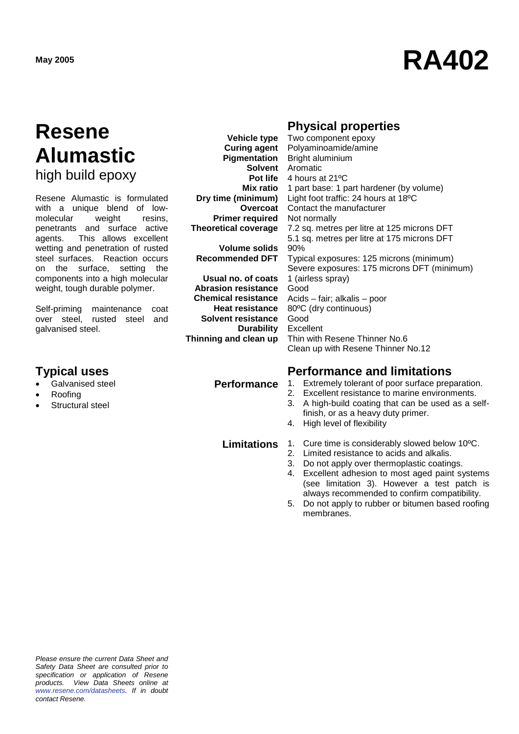# **May <sup>2005</sup> RA402**

### **Resene Alumastic** high build epoxy

Resene Alumastic is formulated with a unique blend of lowmolecular weight resins, penetrants and surface active agents. This allows excellent wetting and penetration of rusted steel surfaces. Reaction occurs on the surface, setting the components into a high molecular weight, tough durable polymer.

Self-priming maintenance coat over steel, rusted steel and galvanised steel.

- Galvanised steel
- Roofing
- Structural steel

**Vehicle type Curing agent Pigmentation Mix ratio Dry time (minimum) Overcoat Primer required Theoretical coverage**

**Volume solids Recommended DFT**

**Usual no. of coats Abrasion resistance Chemical resistance Heat resistance Solvent resistance Durability Thinning and clean up**

**Solvent** Aromatic **Pot life** 4 hours at 21ºC Bright aluminium 1 part base: 1 part hardener (by volume) Light foot traffic: 24 hours at 18ºC Contact the manufacturer Not normally 7.2 sq. metres per litre at 125 microns DFT 5.1 sq. metres per litre at 175 microns DFT 90% Typical exposures: 125 microns (minimum)

**Physical properties**  Two component epoxy Polyaminoamide/amine

Severe exposures: 175 microns DFT (minimum) 1 (airless spray) Good Acids – fair; alkalis – poor 80ºC (dry continuous) Good Excellent Thin with Resene Thinner No.6

Clean up with Resene Thinner No.12

### **Typical uses Performance and limitations**

- **Performance** 1. Extremely tolerant of poor surface preparation.<br>2. Excellent resistance to marine environments.
	- Excellent resistance to marine environments.
	- 3. A high-build coating that can be used as a selffinish, or as a heavy duty primer.
	- 4. High level of flexibility

- **Limitations** 1. Cure time is considerably slowed below 10<sup>o</sup>C.<br>2. Limited resistance to acids and alkalis.
	- Limited resistance to acids and alkalis.
	- 3. Do not apply over thermoplastic coatings.
	- 4. Excellent adhesion to most aged paint systems (see limitation 3). However a test patch is always recommended to confirm compatibility.
	- 5. Do not apply to rubber or bitumen based roofing membranes.

*Please ensure the current Data Sheet and Safety Data Sheet are consulted prior to specification or application of Resene products. View Data Sheets online at [www.resene.com/datasheets.](http://www.resene.com/datasheets) If in doubt contact Resene.*